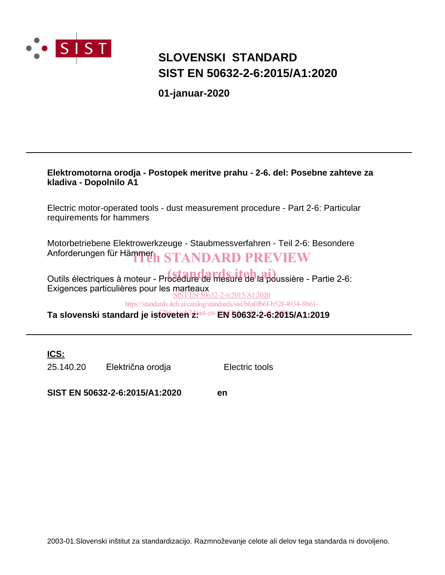

### **SLOVENSKI STANDARD SIST EN 50632-2-6:2015/A1:2020**

**01-januar-2020**

### **Elektromotorna orodja - Postopek meritve prahu - 2-6. del: Posebne zahteve za kladiva - Dopolnilo A1**

Electric motor-operated tools - dust measurement procedure - Part 2-6: Particular requirements for hammers

Motorbetriebene Elektrowerkzeuge - Staubmessverfahren - Teil 2-6: Besondere Anforderungen für Hämmerh STANDARD PREVIEW

Outils électriques à moteur - Procédure de mesure de la poussière - Partie 2-6: Exigences particulières pour les marteaux SIST EN 50632-2-6:2015/A1:2020

https://standards.iteh.ai/catalog/standards/sist/b6a0fb6f-b52f-4034-8b61-

Ta slovenski standard je istôveten<sup>2g</sup>sist-en-EN 50632<sup>1</sup>2-6:2015/A1:2019

**ICS:**

25.140.20 Električna orodja Electric tools

**SIST EN 50632-2-6:2015/A1:2020 en**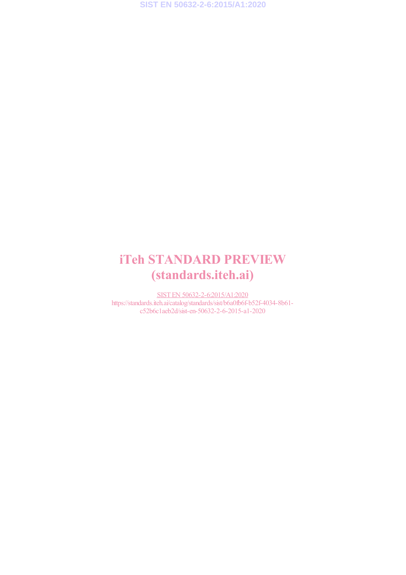# iTeh STANDARD PREVIEW (standards.iteh.ai)

SIST EN 50632-2-6:2015/A1:2020 https://standards.iteh.ai/catalog/standards/sist/b6a0fb6f-b52f-4034-8b61c52b6c1aeb2d/sist-en-50632-2-6-2015-a1-2020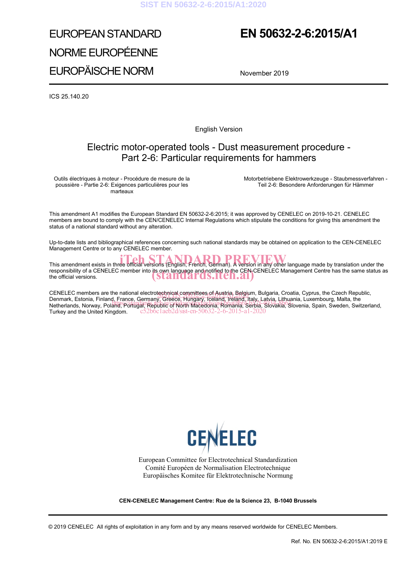# EUROPEAN STANDARD NORME EUROPÉENNE EUROPÄISCHE NORM

## **EN 50632-2-6:2015/A1**

November 2019

ICS 25.140.20

English Version

### Electric motor-operated tools - Dust measurement procedure - Part 2-6: Particular requirements for hammers

Outils électriques à moteur - Procédure de mesure de la poussière - Partie 2-6: Exigences particulières pour les marteaux

 Motorbetriebene Elektrowerkzeuge - Staubmessverfahren - Teil 2-6: Besondere Anforderungen für Hämmer

This amendment A1 modifies the European Standard EN 50632-2-6:2015; it was approved by CENELEC on 2019-10-21. CENELEC members are bound to comply with the CEN/CENELEC Internal Regulations which stipulate the conditions for giving this amendment the status of a national standard without any alteration.

Up-to-date lists and bibliographical references concerning such national standards may be obtained on application to the CEN-CENELEC Management Centre or to any CENELEC member.

This amendment exists in three official versions (English, French, German). A version in any other language made by translation under the responsibility of a CENELEC member into its own language and notified to the CEN-CENELEC Management Centre has the same status as responsibility of a CENELEC member into its own language and notified to the CEN-C<br>the official versions. **Example 19 STAN QAT OS, ITCN, AI** 

CENELEC members are the national electrotechnical committees of Austria, Belgium, Bulgaria, Croatia, Cyprus, the Czech Republic, Communication of the Czech Republic, Cyprus, the Czech Republic, Cyprus, the Czech Republic, Denmark, Estonia, Finland, France, Germany, Greece, Hungary, Iceland, Ireland, Italy, Latvia, Lithuania, Luxembourg, Malta, the Definian, Estonia, Finand, France, Germany, Greece, Hungary, Iceland, Ireland, Italy, Earlya, Emidama, Euxembourg, Maita, the<br>Netherlands, Norway, Poland, Portugal, Republic 6f North Macedonia, Romania, Serbia, Slovakia, S Turkey and the United Kingdom. c52b6c1aeb2d/sist-en-50632-2-6-2015-a1-2020



European Committee for Electrotechnical Standardization Comité Européen de Normalisation Electrotechnique Europäisches Komitee für Elektrotechnische Normung

**CEN-CENELEC Management Centre: Rue de la Science 23, B-1040 Brussels**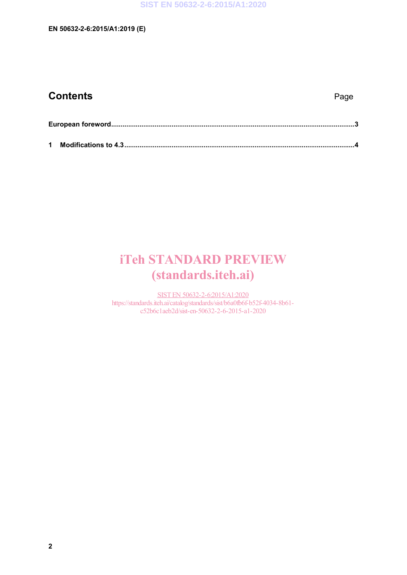| <b>Contents</b> | Page |
|-----------------|------|
|                 |      |

# iTeh STANDARD PREVIEW (standards.iteh.ai)

SIST EN 50632-2-6:2015/A1:2020 https://standards.iteh.ai/catalog/standards/sist/b6a0fb6f-b52f-4034-8b61 c52b6c1aeb2d/sist-en-50632-2-6-2015-a1-2020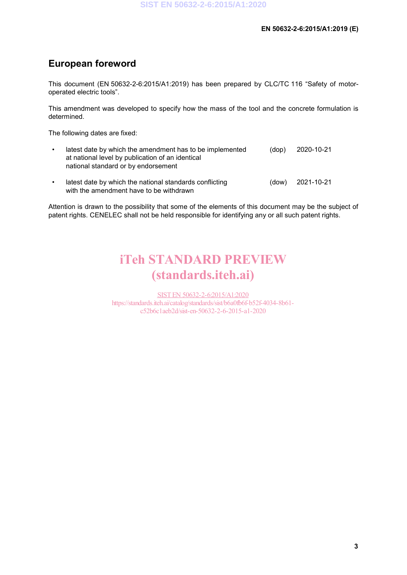### **European foreword**

This document (EN 50632-2-6:2015/A1:2019) has been prepared by CLC/TC 116 "Safety of motoroperated electric tools".

This amendment was developed to specify how the mass of the tool and the concrete formulation is determined.

The following dates are fixed:

| latest date by which the amendment has to be implemented<br>at national level by publication of an identical<br>national standard or by endorsement | (dop)  | 2020-10-21 |
|-----------------------------------------------------------------------------------------------------------------------------------------------------|--------|------------|
| latest date by which the national standards conflicting                                                                                             | (dimn) | 2021 10.21 |

• latest date by which the national standards conflicting with the amendment have to be withdrawn (dow) 2021-10-21

Attention is drawn to the possibility that some of the elements of this document may be the subject of patent rights. CENELEC shall not be held responsible for identifying any or all such patent rights.

## iTeh STANDARD PREVIEW (standards.iteh.ai)

SIST EN 50632-2-6:2015/A1:2020 https://standards.iteh.ai/catalog/standards/sist/b6a0fb6f-b52f-4034-8b61 c52b6c1aeb2d/sist-en-50632-2-6-2015-a1-2020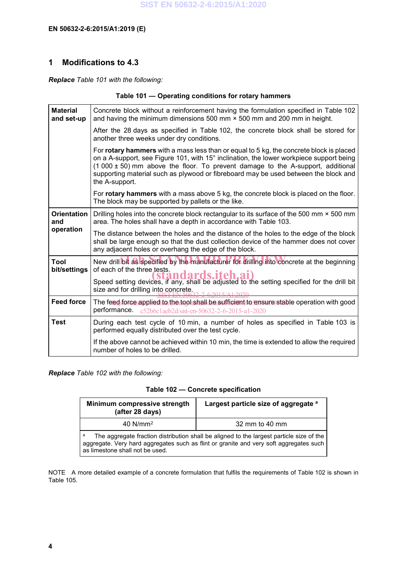### **1 Modifications to 4.3**

*Replace Table 101 with the following:*

| Table 101 – Operating conditions for rotary hammers |  |  |  |  |
|-----------------------------------------------------|--|--|--|--|
|-----------------------------------------------------|--|--|--|--|

| <b>Material</b><br>and set-up | Concrete block without a reinforcement having the formulation specified in Table 102<br>and having the minimum dimensions 500 mm $\times$ 500 mm and 200 mm in height.                                                                                                                                                                                                         |
|-------------------------------|--------------------------------------------------------------------------------------------------------------------------------------------------------------------------------------------------------------------------------------------------------------------------------------------------------------------------------------------------------------------------------|
|                               | After the 28 days as specified in Table 102, the concrete block shall be stored for<br>another three weeks under dry conditions.                                                                                                                                                                                                                                               |
|                               | For rotary hammers with a mass less than or equal to 5 kg, the concrete block is placed<br>on a A-support, see Figure 101, with 15° inclination, the lower workpiece support being<br>(1 000 ± 50) mm above the floor. To prevent damage to the A-support, additional<br>supporting material such as plywood or fibreboard may be used between the block and<br>the A-support. |
|                               | For <b>rotary hammers</b> with a mass above 5 kg, the concrete block is placed on the floor.<br>The block may be supported by pallets or the like.                                                                                                                                                                                                                             |
| <b>Orientation</b><br>and     | Drilling holes into the concrete block rectangular to its surface of the 500 mm × 500 mm<br>area. The holes shall have a depth in accordance with Table 103.                                                                                                                                                                                                                   |
| operation                     | The distance between the holes and the distance of the holes to the edge of the block<br>shall be large enough so that the dust collection device of the hammer does not cover<br>any adjacent holes or overhang the edge of the block.                                                                                                                                        |
| Tool<br>bit/settings          | New drill bit as specified by the manufacturer for drilling into concrete at the beginning<br>of each of the three tests.                                                                                                                                                                                                                                                      |
|                               | Speed setting devices, if any, shall be adjusted to the setting specified for the drill bit<br>size and for drilling into concrete.                                                                                                                                                                                                                                            |
| <b>Feed force</b>             | The feed force applied to the tool shall be sufficient to ensure stable operation with good<br>performance.<br>c52b6c1aeb2d/sist-en-50632-2-6-2015-a1-2020                                                                                                                                                                                                                     |
| <b>Test</b>                   | During each test cycle of 10 min, a number of holes as specified in Table 103 is<br>performed equally distributed over the test cycle.                                                                                                                                                                                                                                         |
|                               | If the above cannot be achieved within 10 min, the time is extended to allow the required<br>number of holes to be drilled.                                                                                                                                                                                                                                                    |

*Replace Table 102 with the following:*

### **Table 102 — Concrete specification**

| Minimum compressive strength<br>(after 28 days)                                                                                                                                                                            | Largest particle size of aggregate a |  |
|----------------------------------------------------------------------------------------------------------------------------------------------------------------------------------------------------------------------------|--------------------------------------|--|
| $40$ N/mm <sup>2</sup><br>32 mm to 40 mm                                                                                                                                                                                   |                                      |  |
| a<br>The aggregate fraction distribution shall be aligned to the largest particle size of the<br>aggregate. Very hard aggregates such as flint or granite and very soft aggregates such<br>as limestone shall not be used. |                                      |  |

NOTE A more detailed example of a concrete formulation that fulfils the requirements of Table 102 is shown in Table 105.